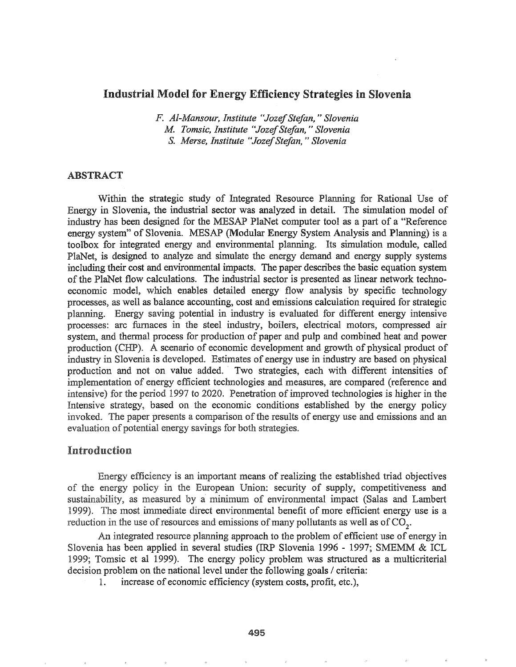## Industrial Model for Energy Efficiency Strategies in Slovenia

*F. A/-Mansour, Institute HJozefStefan,* " *Slovenia* M. *Tomsic, Institute "JozefStefan,* " *Slovenia* S. *Merse, Institute HJozefStefan,* " *Slovenia*

### ABSTRACT

Within the strategic study of Integrated Resource Planning for Rational Use of Energy in Slovenia, the industrial sector was analyzed in detail. The simulation model of industry has been designed for the MESAP PlaNet computer tool as a part of a "Reference energy system" of Slovenia. MESAP (Modular Energy System Analysis and Planning) is a toolbox for integrated energy and environmental planning. Its simulation module, called PlaNet, is designed to analyze and simulate the energy demand and energy supply systems including their cost and environmental impacts. The paper describes the basic equation system ofthe PlaNet flow calculations. The industrial sector is presented as linear network technoeconomic model, which enables detailed energy flow analysis by specific technology processes, as well as balance accounting, cost and emissions calculation required for strategic planning. Energy saving potential in industry is evaluated for different energy intensive processes: arc furnaces in the steel industry, boilers, electrical motors, compressed air system, and thermal process for production of paper and pulp and combined heat and power production (CHP). A scenario of economic development and growth of physical product of industry in Slovenia is developed. Estimates of energy use in industry are based on physical production and not on value added. Two strategies, each with different intensities of implementation of energy efficient technologies and measures, are compared (reference and intensive) for the period 1997 to 2020. Penetration of improved technologies is higher in the Intensive strategy, based on the economic conditions established by the energy policy invoked. The paper presents a comparison of the results of energy use and emissions and an evaluation of potential energy savings for both strategies.

### Introduction

Energy efficiency is an important means of realizing the established triad objectives of the energy policy in the European Union: security of supply, competitiveness and sustainability, as measured by a minimum of environmental impact (Salas and Lambert 1999).. The most immediate direct environmental benefit of more efficient energy use is a reduction in the use of resources and emissions of many pollutants as well as of  $CO<sub>2</sub>$ .

An integrated resource planning approach to the problem of efficient use of energy in Slovenia has been applied in several studies (IRP Slovenia 1996 - 1997; SMEMM & ICL 1999; Tomsic et al 1999). The energy policy problem was structured as a multicriterial decision problem on the national level under the following goals / criteria:

1. increase of economic efficiency (system costs, profit, etc.),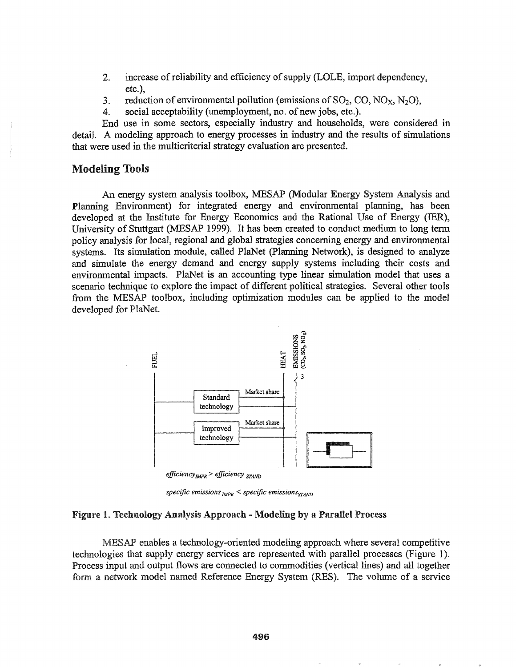- 2. increase of reliability and efficiency of supply (LOLE, import dependency, etc.),
- 3. reduction of environmental pollution (emissions of  $SO_2$ , CO, NO<sub>X</sub>, N<sub>2</sub>O), 4. social acceptability (unemployment, no. of new jobs, etc.).
- social acceptability (unemployment, no. of new jobs, etc.).

End use in some sectors, especially industry and households, were considered in detail. A modeling approach to energy processes in industry and the results of simulations that were used in the multicriteriaI strategy evaluation are presented.

# Modeling Tools

An energy system analysis toolbox, MESAP (Modular Energy System Analysis and Planning Environment) for integrated energy and environmental planning, has been developed at the Institute for Energy Economics and the Rational Use of Energy (IER), University of Stuttgart (MESAP 1999). It has been created to conduct medium to long term policy analysis for local, regional and global strategies concerning energy and environmental systems. Its simulation module, called PlaNet (planning Network), is designed to analyze and simulate the energy demand and energy supply systems including their costs and environmental impacts. PlaNet is an accounting type linear simulation model that uses a scenario technique to explore the impact of different political strategies. Several other tools from the MESAP toolbox, including optimization modules can be applied to the model developed for PlaNet.



*specific emissions*<sub>*IMPR</sub>* < *specific emissions*<sub>STAND</sub></sub>

#### Figure 1. Technology Analysis Approach - Modeling by a Parallel Process

MESAP enables a technology-oriented modeling approach where several competitive technologies that supply energy services are represented with parallel processes (Figure 1). Process input and output flows are connected to commodities (vertical lines) and all together a network model named Reference Energy System (RES). The volume of a service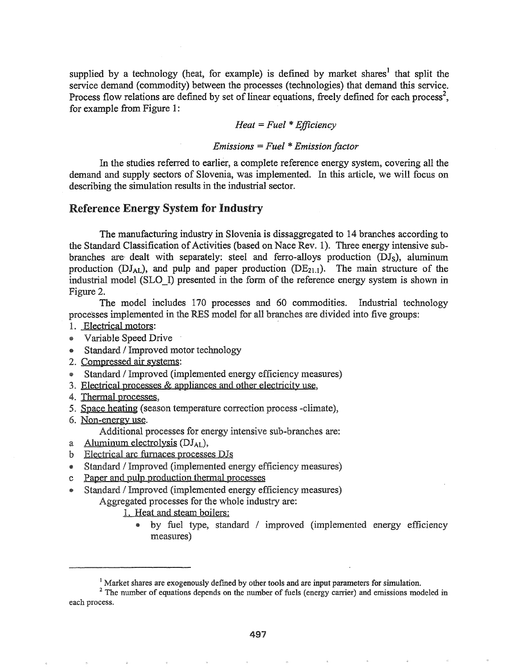supplied by a technology (heat, for example) is defined by market shares<sup>1</sup> that split the service demand (commodity) between the processes (technologies) that demand this service. Process flow relations are defined by set of linear equations, freely defined for each process<sup>2</sup>, for example from Figure 1:

### *Heat* <sup>=</sup> *Fuel* \**Efficiency*

### *Emissions* <sup>=</sup> *Fuel* \**Emission factor*

In the studies referred to earlier, a complete reference energy system, covering all the demand and supply sectors of Slovenia, was implemented. In this article, we will focus on describing the simulation results in the industrial sector.

## Reference Energy System for Industry

The manufacturing industry in Slovenia is dissaggregated to 14 branches according to the Standard Classification of Activities (based on Nace Rev. 1). Three energy intensive subbranches are- dealt with separately: steel and ferro-alloys production *(DIs),* aluminum production ( $DJ_{AL}$ ), and pulp and paper production ( $DE_{21.1}$ ). The main structure of the industrial model (SLO\_I) presented in the form of the reference energy system is shown in Figure 2.

The model includes 170 processes and 60 commodities. Industrial technology processes implemented in the RES model for all branches are divided into five groups:

- 1. Electrical motors:
- @ Variable Speed Drive .
- Standard / Improved motor technology
- 2. Compressed air systems:
- Standard / Improved (implemented energy efficiency measures)
- 3. Electrical processes  $&$  appliances and other electricity use,
- 4. Thermal processes,
- 5. Space heating (season temperature correction process -climate),
- 6. Non-energy use.

Additional processes for energy intensive sub-branches are:

- a Aluminum electrolysis  $(DJ_{AL})$ ,
- b Electrical arc furnaces processes *DIs*
- @ Standard / Improved (implemented energy efficiency measures)
- c Paper and pulp production thermal processes
- Standard / Improved (implemented energy efficiency measures) Aggregated processes for the whole industry are:

1. Heat and steam boilers:

by fuel type, standard / improved (implemented energy efficiency measures)

<sup>&</sup>lt;sup>1</sup> Market shares are exogenously defined by other tools and are input parameters for simulation.

 $2<sup>2</sup>$  The number of equations depends on the number of fuels (energy carrier) and emissions modeled in each process.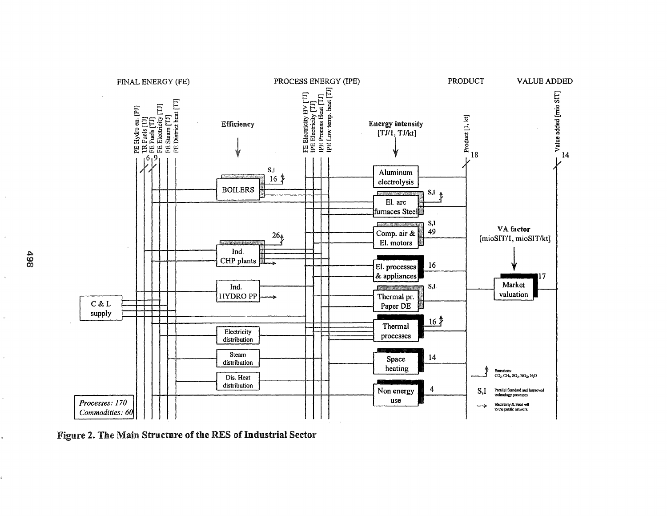

Figure 2. The Main Structure of the RES of Industrial Sector

 $\begin{array}{c} 498 \\ 20 \end{array}$ 

 $\hat{\theta}$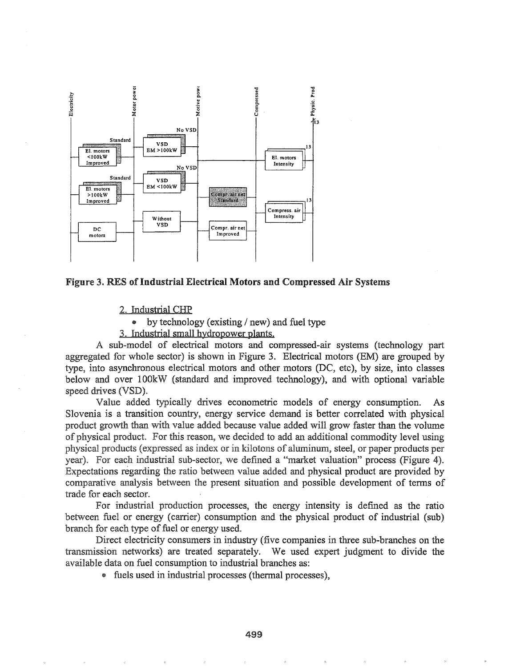



2. Industrial CHP

 $\bullet$ by technology (existing / new) and fuel type

3. Industrial small hydropower plants.

A sub-model of electrical motors and compressed-air systems (technology part aggregated for whole sector) is shown in Figure 3. Electrical motors (EM) are grouped by type, into asynchronous electrical motors and other motors (DC, etc), by size, into classes below and over 100kW (standard and improved technology), and with optional variable speed drives (VSD).

Value added typically drives econometric models of energy consumption.  $As$ Slovenia is a transition country, energy service demand is better correlated with physical product growth than with value added because value added will grow faster than the volume of physical product. For this reason, we decided to add an additional commodity level using physical products (expressed as index or in kilotons of aluminum, steel, or paper products per year). For each industrial sub-sector, we defined a "market valuation" process (Figure 4). Expectations regarding the ratio between value added and physical product are provided by comparative analysis between the present situation and possible development of terms of trade for each sector.

For industrial production processes, the energy intensity is defined as the ratio between fuel or energy (carrier) consumption and the physical product of industrial (sub) branch for each type of fuel or energy used.

Direct electricity consumers in industry (five companies in three sub-branches on the transmission networks) are treated separately. We used expert judgment to divide the available data on fuel consumption to industrial branches as:

• fuels used in industrial processes (thermal processes),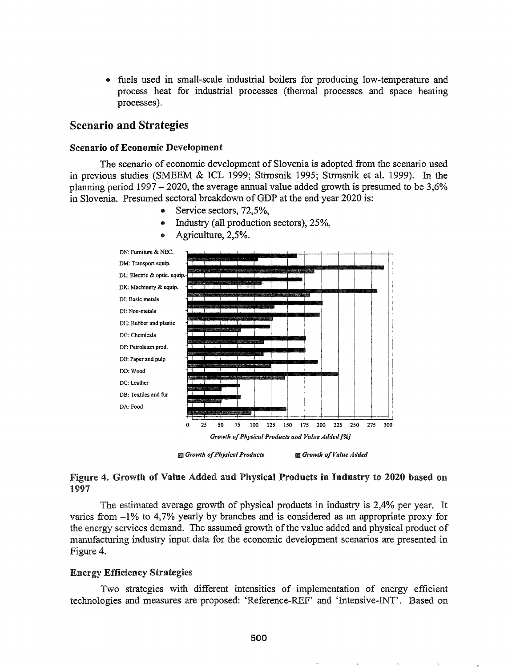.. fuels used in small-scale industrial boilers for producing low-temperature and process heat for industrial processes (thermal processes and space heating processes).

## Scenario and Strategies

#### Scenario of Economic Development

The scenario of economic development of Slovenia is adopted from the scenario used in previous studies (SMEEM  $&$  ICL 1999; Strmsnik 1995; Strmsnik et al. 1999). In the planning period  $1997 - 2020$ , the average annual value added growth is presumed to be 3,6% in Slovenia. Presumed sectoral breakdown of GDP at the end year 2020 is:

- Service sectors, 72,5%,
- Industry (all production sectors), 25%,



• Agriculture, 2,5%.

tD *Growth ofPhysical Products • Growth ofValue Added*

# Figure 4. Growth of Value Added and Physical Products in Industry to 2020 based on 1997

The estimated average growth of physical products in industry is 2,4% per year. It varies from -1% to 4,7% yearly by branches and is considered as an appropriate proxy for the energy services demand. The assumed growth of the value added and physical product of manufacturing industry input data for the economic development scenarios are presented in Figure 4.

## Energy Efficiency Strategies

Two strategies with different intensities of implementation of energy efficient technologies and measures are proposed: 'Reference-REF' and 'Intensive-INT'. Based on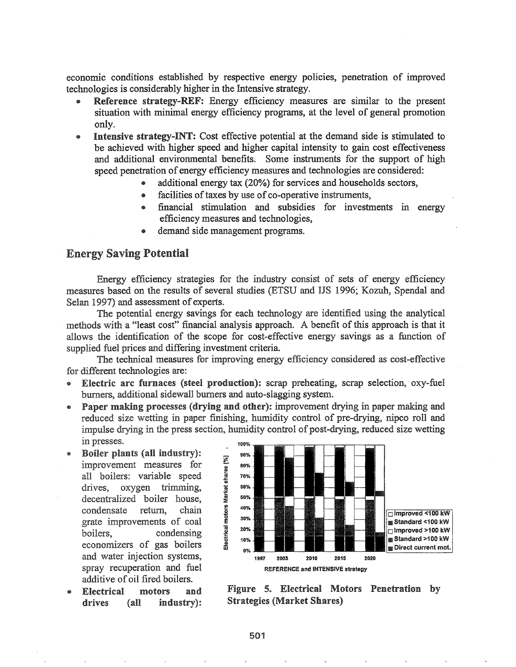economic conditions established by respective energy policies, penetration of improved technologies is considerably higher in the Intensive strategy~

- Reference strategy-REF: Energy efficiency measures are similar to the present situation with minimal energy efficiency programs, at the level of general promotion only.
- Intensive strategy-INT: Cost effective potential at the demand side is stimulated to be achieved with higher speed and higher capital intensity to gain cost effectiveness and additional environmental benefits. Some instruments for the support of high speed penetration of energy efficiency measures and technologies are considered:
	- additional energy tax (20%) for services and households sectors,
	- facilities of taxes by use of co-operative instruments,
	- financial stimulation and subsidies for investments in energy efficiency measures and technologies,
	- demand side management programs.

### Energy Saving Potential

Energy efficiency strategies for the industry consist of sets of energy efficiency measures based on the results of several studies (ETSU and lIS 1996; Kozuh, Spendal and Selan 1997) and assessment of experts.

The potential energy savings for each technology are identified using the analytical methods with a "least cost" financial analysis approach. A benefit of this approach is that it allows the identification of the scope for cost-effective energy savings as a function of supplied fuel prices and differing investment criteria.

The technical measures for improving energy efficiency considered as cost-effective for different technologies are:

- @ Electric arc furnaces (steel production): scrap preheating, scrap selection, oxy-fuel burners, additional sidewall burners and auto-slagging system.
- Paper making processes (drying and other): improvement drying in paper making and reduced size wetting in paper finishing, humidity control of pre-drying, nipco roll and impulse drying in the press section, humidity control of post-drying, reduced size wetting in presses.
- Boiler plants (all industry): improvement measures for all boilers: variable speed drives, oxygen trimming, decentralized boiler house, condensate return, chain grate improvements of coal boilers, condensing economizers of gas boilers and water injection systems, spray recuperation and fuel additive of oil fired boilers.
- Electrical motors and drives (all industry):



Figure 5. Electrical Motors Penetration by Strategies (Market Shares)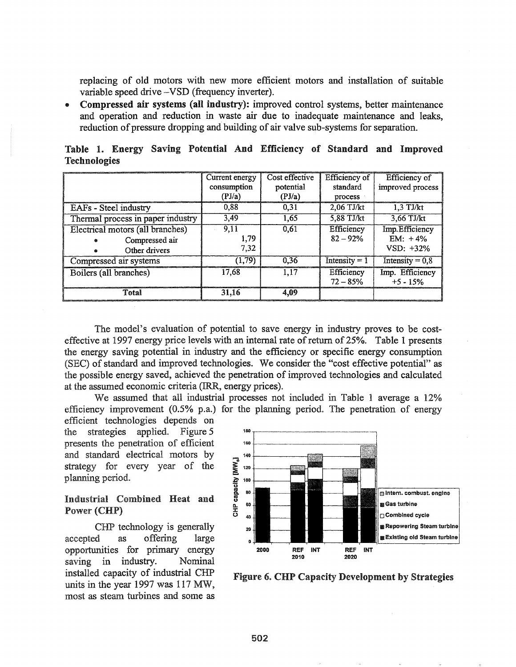replacing of old motors with new more efficient motors and installation of suitable variable speed drive -VSD (frequency inverter).

• Compressed air systems (all industry): improved control systems, better maintenance and operation and reduction in waste air due to inadequate maintenance and leaks, reduction of pressure dropping and building of air valve sub-systems for separation.

|                     |  |  | Table 1. Energy Saving Potential And Efficiency of Standard and Improved |  |  |
|---------------------|--|--|--------------------------------------------------------------------------|--|--|
| <b>Technologies</b> |  |  |                                                                          |  |  |

|                                   | Current energy | Cost effective | Efficiency of   | Efficiency of     |
|-----------------------------------|----------------|----------------|-----------------|-------------------|
|                                   | consumption    | potential      | standard        | improved process  |
|                                   | (PI/a)         | (PI/a)         | process         |                   |
| EAFs - Steel industry             | 0.88           | 0.31           | $2,06$ TJ/kt    | $1.3$ TJ/kt       |
| Thermal process in paper industry | 3.49           | 1.65           | 5,88 TJ/kt      | 3,66 TJ/kt        |
| Electrical motors (all branches)  | 9.11           | 0.61           | Efficiency      | Imp. Efficiency   |
| Compressed air<br>Ø.              | 1.79           |                | $82 - 92%$      | $EM: +4\%$        |
| Other drivers<br>d.               | 7.32           |                |                 | $VSD: +32\%$      |
| Compressed air systems            | (1,79)         | 0.36           | Intensity $= 1$ | Intensity = $0,8$ |
| Boilers (all branches)            | 17,68          | 1.17           | Efficiency      | Imp. Efficiency   |
|                                   |                |                | $72 - 85%$      | $+5 - 15%$        |
| Total                             | 31.16          | 4.09           |                 |                   |

The model's evaluation of potential to save energy in industry proves to be costeffective at 1997 energy price levels with an internal rate of return of 25%. Table 1 presents the energy saving potential in industry and the efficiency or specific energy consumption (SEC) of standard and improved technologies. We consider the "cost effective potential" as the possible energy saved, achieved the penetration of improved technologies and calculated at the assumed economic criteria (IRR, energy prices).

We assumed that all industrial processes not included in Table 1 average a 12% efficiency improvement  $(0.5\%$  p.a.) for the planning period. The penetration of energy

efficient technologies depends on the strategies applied.. Figure 5 presents the penetration of efficient and standard electrical motors by strategy for every year of the planning period..

# Industrial Combined Heat and Power (CHP)

CHP technology is generally accepted as offering large opportunities for primary energy saving in industry. Nominal installed capacity of industrial CHP units in the year 1997 was 117 MW, most as steam turbines and some as



Figure 6. CHP Capacity Development by Strategies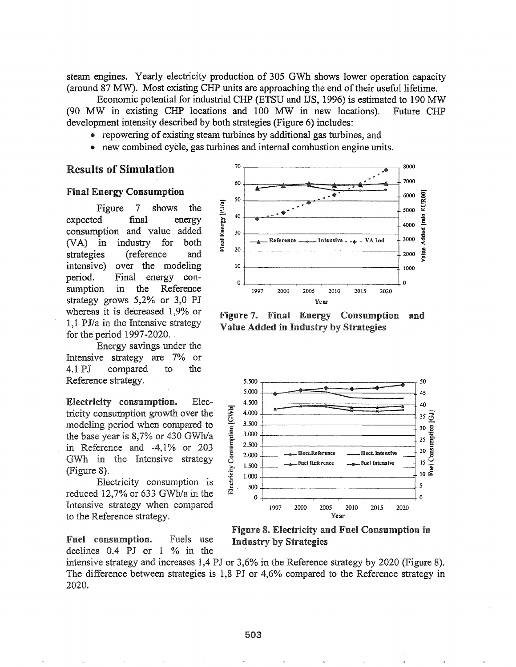steam engines. Yearly electricity production of 305 GWh shows lower operation capacity (around 87 MW). Most existing CHP units are approaching the end of their useful lifetime.

Economic potential for industrial CHP (ETSU and IJS, 1996) is estimated to 190 MW (90 MW in existing CHP locations and 100 MW in new locations). Future CHP development intensity described by both strategies (Figure 6) includes:

- repowering of existing steam turbines by additional gas turbines, and
- new combined cycle, gas turbines and internal combustion engine units.

### **Results of Simulation**

#### **Final Energy Consumption**

Figure  $7\phantom{.0}$ shows the final expected energy consumption and value added  $(VA)$  in industry for both strategies (reference and intensive) over the modeling period. Final energy con- $\operatorname{in}$ the Reference sumption strategy grows  $5,2\%$  or 3,0 PJ whereas it is decreased 1,9% or 1,1 PJ/a in the Intensive strategy for the period  $1997-2020$ .

Energy savings under the Intensive strategy are 7% or 4.1 PJ compared  $\mathsf{to}$ the Reference strategy.

Electricity consumption. Electricity consumption growth over the modeling period when compared to the base year is  $8,7\%$  or 430 GWh/a in Reference and -4,1% or 203 GWh in the Intensive strategy (Figure 8).

Electricity consumption is reduced 12,7% or 633 GWh/a in the Intensive strategy when compared to the Reference strategy.

Fuel consumption. Fuels use declines  $0.4$  PJ or  $1\%$  in the



Figure 7. Final Energy Consumption and Value Added in Industry by Strategies



**Figure 8. Electricity and Fuel Consumption in Industry by Strategies** 

intensive strategy and increases 1,4 PJ or 3,6% in the Reference strategy by 2020 (Figure 8). The difference between strategies is 1,8 PJ or 4,6% compared to the Reference strategy in 2020.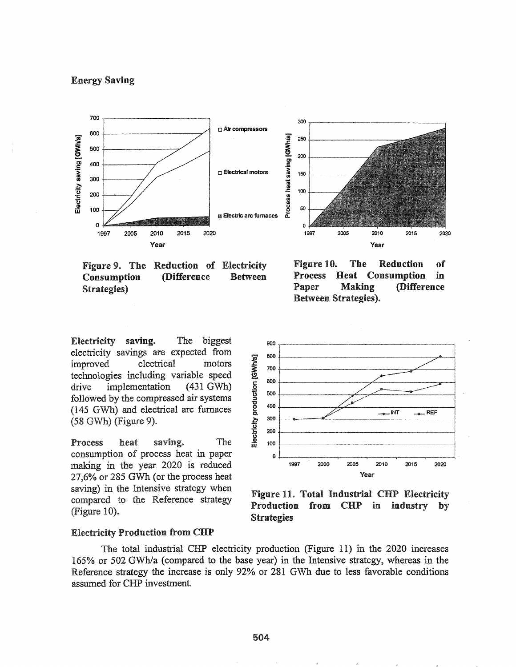### **Energy Saving**



Figure 9. The Reduction of Electricity **(Difference** Consumption **Between** Strategies)

Electricity saving. The biggest electricity savings are expected from electrical motors improved technologies including variable speed implementation  $(431 \text{ GWh})$ drive followed by the compressed air systems (145 GWh) and electrical arc furnaces  $(58$  GWh) (Figure 9).

Process heat saving. The consumption of process heat in paper making in the year 2020 is reduced 27,6% or 285 GWh (or the process heat saving) in the Intensive strategy when compared to the Reference strategy (Figure 10).

Figure 10. The **Reduction** of **Process Consumption** Heat in Paper **Making (Difference Between Strategies).** 



Figure 11. Total Industrial CHP Electricity Production from CHP in industry by **Strategies** 

#### **Electricity Production from CHP**

The total industrial CHP electricity production (Figure 11) in the 2020 increases 165% or 502 GWh/a (compared to the base year) in the Intensive strategy, whereas in the Reference strategy the increase is only 92% or 281 GWh due to less favorable conditions assumed for CHP investment.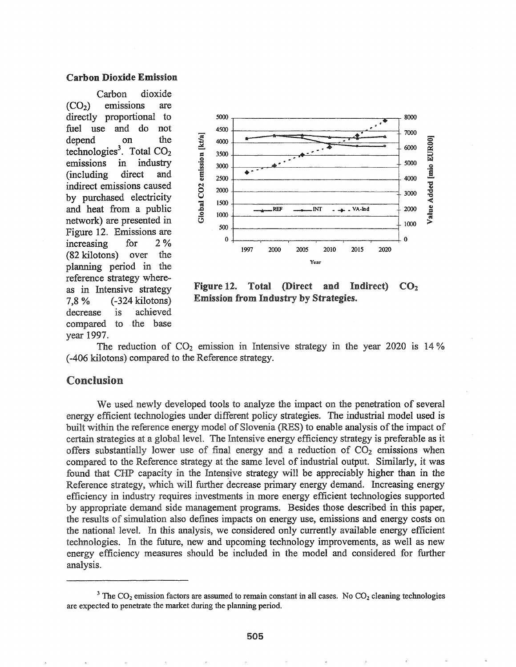#### Carbon. Dioxide Emission

Carbon dioxide  $(CO<sub>2</sub>)$  emissions are directly proportional to fuel use and do not depend on the technologies<sup>3</sup>. Total  $CO<sub>2</sub>$ emissions in industry (including direct and indirect emissions caused by purchased electricity and heat from a public network) are presented in Figure 12. Emissions are increasing for 2 % (82 kilotons) over the planning period in the reference strategy whereas in Intensive strategy 7,8 % (-324 kilotons) decrease is achieved compared to the base year 1997.



Figure 12. Total (Direct and Indirect)  $CO<sub>2</sub>$ Emission from Industry by Strategies.

The reduction of  $CO<sub>2</sub>$  emission in Intensive strategy in the year 2020 is 14% (-406 kilotons) compared to the Reference strategy.

# Conclusion

We used newly developed tools to analyze the impact on the penetration of several energy efficient technologies under different policy strategies. The industrial model used is built within the reference energy model of Slovenia (RES) to enable analysis of the impact of certain strategies at a global level. The Intensive energy efficiency strategy is preferable as it offers substantially lower use of final energy and a reduction of  $CO<sub>2</sub>$  emissions when compared to the Reference strategy at the same level of industrial output. Similarly, it was found that CHP capacity in the Intensive strategy will be appreciably higher than in the Reference strategy, which will further decrease primary energy demand. Increasing energy efficiency in industry requires investments in more energy efficient technologies supported by appropriate demand side management programs. Besides those described in this paper, the results of simulation also defines impacts on energy use, emissions and energy costs on the national level. In this analysis, we considered only currently available energy efficient technologies. In the future, new and upcoming technology improvements, as well as new energy efficiency measures should be included in the model and considered for further analysis.

<sup>&</sup>lt;sup>3</sup> The CO<sub>2</sub> emission factors are assumed to remain constant in all cases. No CO<sub>2</sub> cleaning technologies are expected to penetrate the market during the planning period.